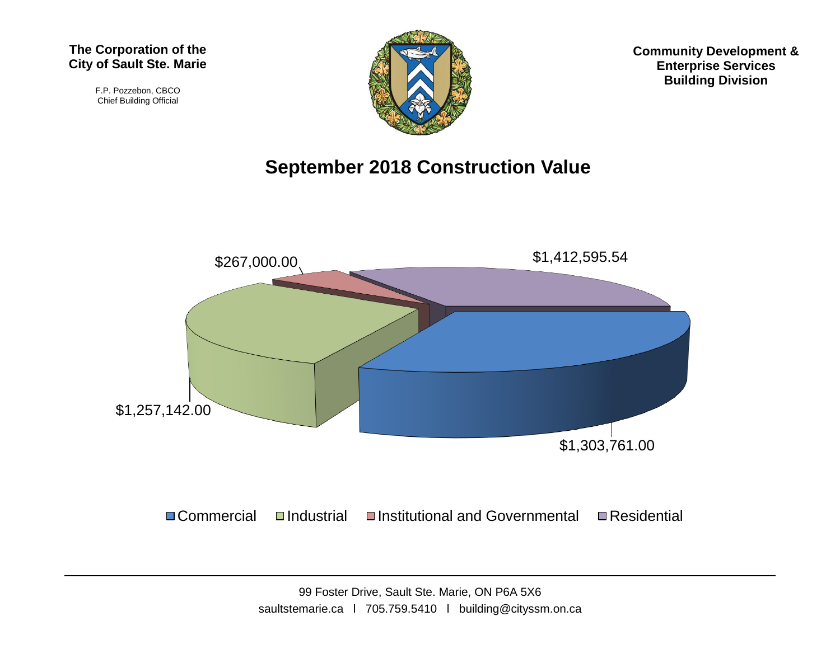F.P. Pozzebon, CBCO Chief Building Official



**Community Development & Enterprise Services Building Division**

### **September 2018 Construction Value**

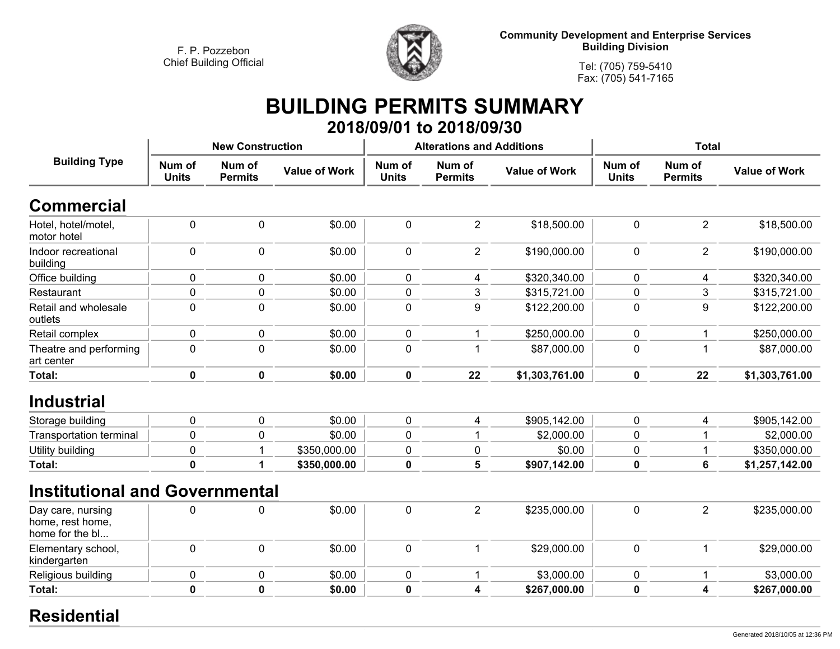

**Community Development and Enterprise Services Building Division**

**Tel: (705) 759-5410Fax: (705) 541-7165**

## **BUILDING PERMITS SUMMARY 2018/09/01 to 2018/09/30**

| <b>Building Type</b>                                     |                        | <b>New Construction</b>  |                      |                        | <b>Alterations and Additions</b> |                      | <b>Total</b>           |                          |                      |
|----------------------------------------------------------|------------------------|--------------------------|----------------------|------------------------|----------------------------------|----------------------|------------------------|--------------------------|----------------------|
|                                                          | Num of<br><b>Units</b> | Num of<br><b>Permits</b> | <b>Value of Work</b> | Num of<br><b>Units</b> | Num of<br><b>Permits</b>         | <b>Value of Work</b> | Num of<br><b>Units</b> | Num of<br><b>Permits</b> | <b>Value of Work</b> |
| <b>Commercial</b>                                        |                        |                          |                      |                        |                                  |                      |                        |                          |                      |
| Hotel, hotel/motel,<br>motor hotel                       | 0                      | 0                        | \$0.00               | 0                      | $\overline{2}$                   | \$18,500.00          | $\mathbf 0$            | $\overline{2}$           | \$18,500.00          |
| Indoor recreational<br>building                          | $\mathbf 0$            | 0                        | \$0.00               | 0                      | $\overline{2}$                   | \$190,000.00         | $\mathbf 0$            | $\overline{2}$           | \$190,000.00         |
| Office building                                          | 0                      | 0                        | \$0.00               | 0                      | 4                                | \$320,340.00         | 0                      | $\overline{4}$           | \$320,340.00         |
| Restaurant                                               | 0                      | 0                        | \$0.00               | 0                      | 3                                | \$315,721.00         | 0                      | $\mathfrak{B}$           | \$315,721.00         |
| Retail and wholesale<br>outlets                          | $\mathbf{0}$           | 0                        | \$0.00               | 0                      | 9                                | \$122,200.00         | $\mathbf 0$            | 9                        | \$122,200.00         |
| Retail complex                                           | $\mathbf 0$            | 0                        | \$0.00               | 0                      | 1                                | \$250,000.00         | $\mathbf 0$            | 1                        | \$250,000.00         |
| Theatre and performing<br>art center                     | $\mathbf 0$            | 0                        | \$0.00               | 0                      | 1                                | \$87,000.00          | $\mathbf 0$            | 1                        | \$87,000.00          |
| Total:                                                   | $\mathbf 0$            | $\mathbf 0$              | \$0.00               | $\mathbf 0$            | 22                               | \$1,303,761.00       | $\mathbf 0$            | 22                       | \$1,303,761.00       |
| <b>Industrial</b>                                        |                        |                          |                      |                        |                                  |                      |                        |                          |                      |
| Storage building                                         | $\mathbf 0$            | 0                        | \$0.00               | 0                      | 4                                | \$905,142.00         | $\mathbf 0$            | 4                        | \$905,142.00         |
| <b>Transportation terminal</b>                           | 0                      | 0                        | \$0.00               | 0                      | 1                                | \$2,000.00           | $\mathbf 0$            | $\mathbf 1$              | \$2,000.00           |
| Utility building                                         | 0                      | 1                        | \$350,000.00         | 0                      | 0                                | \$0.00               | 0                      |                          | \$350,000.00         |
| Total:                                                   | $\mathbf 0$            | 1                        | \$350,000.00         | 0                      | 5                                | \$907,142.00         | $\mathbf 0$            | 6                        | \$1,257,142.00       |
| <b>Institutional and Governmental</b>                    |                        |                          |                      |                        |                                  |                      |                        |                          |                      |
| Day care, nursing<br>home, rest home,<br>home for the bl | 0                      | 0                        | \$0.00               | 0                      | $\overline{2}$                   | \$235,000.00         | $\mathbf 0$            | $\overline{2}$           | \$235,000.00         |
| Elementary school,<br>kindergarten                       | $\mathbf 0$            | $\mathbf 0$              | \$0.00               | 0                      | 1                                | \$29,000.00          | 0                      | $\mathbf{1}$             | \$29,000.00          |
| Religious building                                       | 0                      | 0                        | \$0.00               | 0                      | 1                                | \$3,000.00           | $\pmb{0}$              | $\mathbf{1}$             | \$3,000.00           |
| Total:                                                   | $\mathbf 0$            | $\mathbf 0$              | \$0.00               | $\mathbf 0$            | 4                                | \$267,000.00         | $\mathbf 0$            | $\overline{\mathbf{4}}$  | \$267,000.00         |
|                                                          |                        |                          |                      |                        |                                  |                      |                        |                          |                      |

#### **Residential**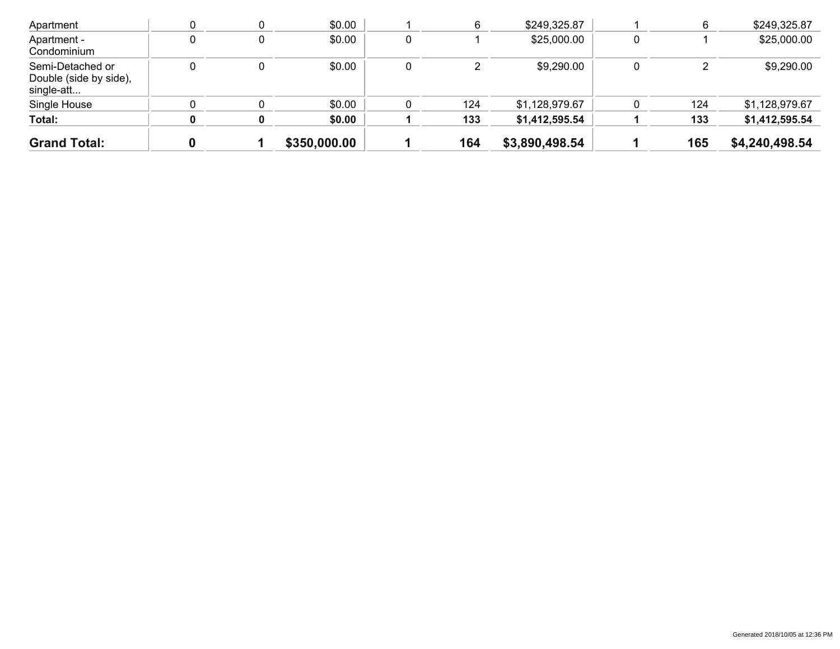| Apartment                                                |  | \$0.00       |        | 6   | \$249,325.87   |   |     | \$249,325.87   |
|----------------------------------------------------------|--|--------------|--------|-----|----------------|---|-----|----------------|
| Apartment -<br>Condominium                               |  | \$0.00       | ∩<br>υ |     | \$25,000.00    |   |     | \$25,000.00    |
| Semi-Detached or<br>Double (side by side),<br>single-att |  | \$0.00       | n      | ⌒   | \$9,290.00     | 0 | ⌒   | \$9,290.00     |
| Single House                                             |  | \$0.00       |        | 124 | \$1,128,979.67 |   | 124 | \$1,128,979.67 |
| Total:                                                   |  | \$0.00       |        | 133 | \$1,412,595.54 |   | 133 | \$1,412,595.54 |
| <b>Grand Total:</b>                                      |  | \$350,000.00 |        | 164 | \$3,890,498.54 |   | 165 | \$4,240,498.54 |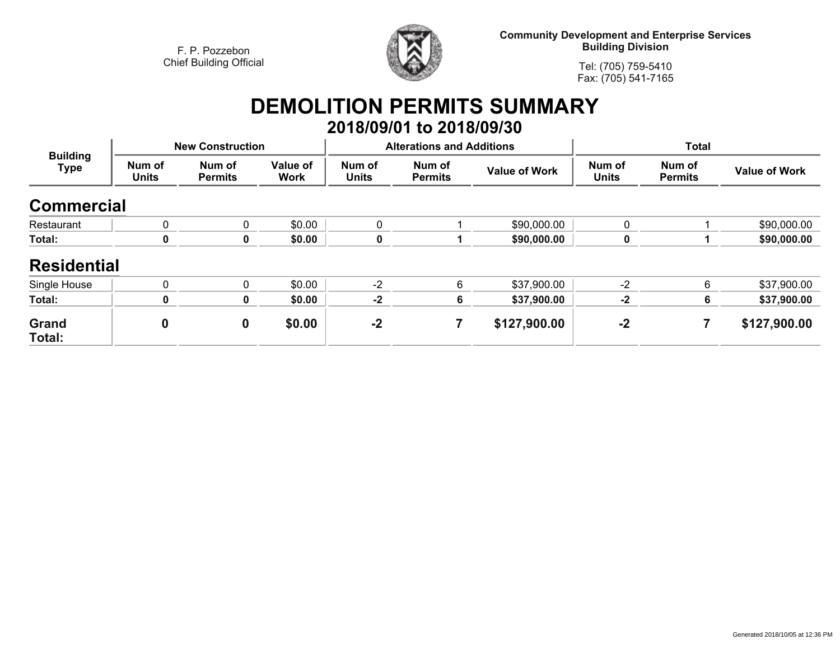

**Community Development and Enterprise Services Building Division**

**Tel: (705) 759-5410Fax: (705) 541-7165**

# **DEMOLITION PERMITS SUMMARY**

|                                |                        |                          |                         |                        | 2018/09/01 to 2018/09/30         |                      |                        |                          |                      |
|--------------------------------|------------------------|--------------------------|-------------------------|------------------------|----------------------------------|----------------------|------------------------|--------------------------|----------------------|
| <b>Building</b><br><b>Type</b> |                        | <b>New Construction</b>  |                         |                        | <b>Alterations and Additions</b> |                      | <b>Total</b>           |                          |                      |
|                                | Num of<br><b>Units</b> | Num of<br><b>Permits</b> | Value of<br><b>Work</b> | Num of<br><b>Units</b> | Num of<br><b>Permits</b>         | <b>Value of Work</b> | Num of<br><b>Units</b> | Num of<br><b>Permits</b> | <b>Value of Work</b> |
| <b>Commercial</b>              |                        |                          |                         |                        |                                  |                      |                        |                          |                      |
| Restaurant                     | 0                      | 0                        | \$0.00                  | 0                      |                                  | \$90,000.00          | 0                      |                          | \$90,000.00          |
| Total:                         | 0                      | 0                        | \$0.00                  | 0                      |                                  | \$90,000.00          | 0                      |                          | \$90,000.00          |
| <b>Residential</b>             |                        |                          |                         |                        |                                  |                      |                        |                          |                      |
| Single House                   | 0                      | 0                        | \$0.00                  | $-2$                   | 6                                | \$37,900.00          | $-2$                   | 6                        | \$37,900.00          |
| Total:                         | 0                      | 0                        | \$0.00                  | $-2$                   | 6                                | \$37,900.00          | $-2$                   | 6                        | \$37,900.00          |
| <b>Grand</b><br>Total:         | $\mathbf 0$            | 0                        | \$0.00                  | $-2$                   | 7                                | \$127,900.00         | $-2$                   | 7                        | \$127,900.00         |